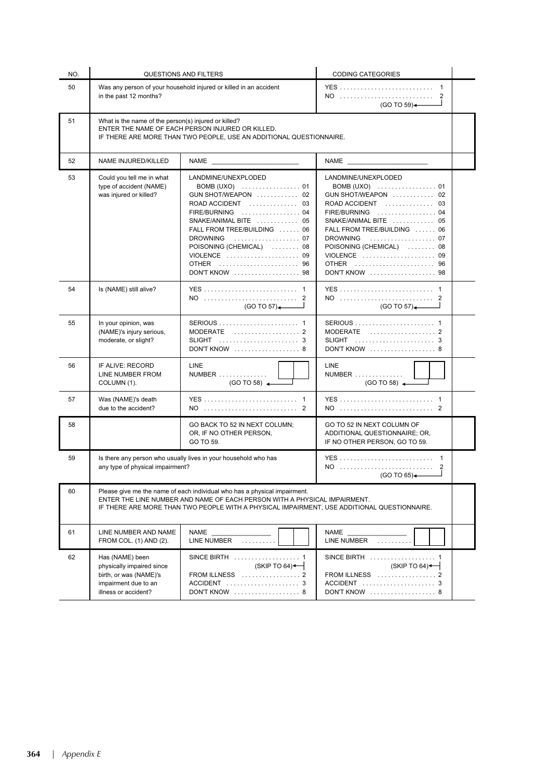| NO. | <b>QUESTIONS AND FILTERS</b>                                                                                                                                                                                                                          |                                                                                                                                                                                                                                                          | <b>CODING CATEGORIES</b>                                                                                                                                                                                                                                 |  |  |
|-----|-------------------------------------------------------------------------------------------------------------------------------------------------------------------------------------------------------------------------------------------------------|----------------------------------------------------------------------------------------------------------------------------------------------------------------------------------------------------------------------------------------------------------|----------------------------------------------------------------------------------------------------------------------------------------------------------------------------------------------------------------------------------------------------------|--|--|
| 50  | Was any person of your household injured or killed in an accident<br>in the past 12 months?                                                                                                                                                           |                                                                                                                                                                                                                                                          | NO<br>2<br>(GO TO 59)                                                                                                                                                                                                                                    |  |  |
| 51  | What is the name of the person(s) injured or killed?<br>ENTER THE NAME OF EACH PERSON INJURED OR KILLED.<br>IF THERE ARE MORE THAN TWO PEOPLE, USE AN ADDITIONAL QUESTIONNAIRE.                                                                       |                                                                                                                                                                                                                                                          |                                                                                                                                                                                                                                                          |  |  |
| 52  | NAME INJURED/KILLED                                                                                                                                                                                                                                   |                                                                                                                                                                                                                                                          |                                                                                                                                                                                                                                                          |  |  |
| 53  | Could you tell me in what<br>type of accident (NAME)<br>was injured or killed?                                                                                                                                                                        | LANDMINE/UNEXPLODED<br>BOMB (UXO)  01<br>GUN SHOT/WEAPON  02<br>ROAD ACCIDENT  03<br>FIRE/BURNING  04<br>SNAKE/ANIMAL BITE  05<br>FALL FROM TREE/BUILDING  06<br>DROWNING  07<br>POISONING (CHEMICAL)  08<br>VIOLENCE  09<br>OTHER  96<br>DON'T KNOW  98 | LANDMINE/UNEXPLODED<br>BOMB (UXO)  01<br>GUN SHOT/WEAPON  02<br>ROAD ACCIDENT  03<br>FIRE/BURNING  04<br>SNAKE/ANIMAL BITE  05<br>FALL FROM TREE/BUILDING  06<br>DROWNING  07<br>POISONING (CHEMICAL)  08<br>VIOLENCE  09<br>OTHER  96<br>DON'T KNOW  98 |  |  |
| 54  | Is (NAME) still alive?                                                                                                                                                                                                                                | NO  2<br>(GO TO 57)                                                                                                                                                                                                                                      | (GO TO 57)                                                                                                                                                                                                                                               |  |  |
| 55  | In your opinion, was<br>(NAME)'s injury serious,<br>moderate, or slight?                                                                                                                                                                              | MODERATE  2<br>DON'T KNOW  8                                                                                                                                                                                                                             | DON'T KNOW  8                                                                                                                                                                                                                                            |  |  |
| 56  | IF ALIVE: RECORD<br>LINE NUMBER FROM<br>COLUMN (1).                                                                                                                                                                                                   | <b>LINE</b><br>NUMBER<br>$(GO TO 58)$ $\leftarrow$                                                                                                                                                                                                       | <b>LINE</b><br>NUMBER<br>$(GO TO 58)$ $\longrightarrow$                                                                                                                                                                                                  |  |  |
| 57  | Was (NAME)'s death<br>due to the accident?                                                                                                                                                                                                            |                                                                                                                                                                                                                                                          |                                                                                                                                                                                                                                                          |  |  |
| 58  |                                                                                                                                                                                                                                                       | GO BACK TO 52 IN NEXT COLUMN;<br>OR, IF NO OTHER PERSON,<br>GO TO 59.                                                                                                                                                                                    | GO TO 52 IN NEXT COLUMN OF<br>ADDITIONAL QUESTIONNAIRE; OR,<br>IF NO OTHER PERSON, GO TO 59.                                                                                                                                                             |  |  |
| 59  | Is there any person who usually lives in your household who has<br>any type of physical impairment?                                                                                                                                                   |                                                                                                                                                                                                                                                          | (GO TO 65)                                                                                                                                                                                                                                               |  |  |
| 60  | Please give me the name of each individual who has a physical impairment.<br>ENTER THE LINE NUMBER AND NAME OF EACH PERSON WITH A PHYSICAL IMPAIRMENT.<br>IF THERE ARE MORE THAN TWO PEOPLE WITH A PHYSICAL IMPAIRMENT, USE ADDITIONAL QUESTIONNAIRE. |                                                                                                                                                                                                                                                          |                                                                                                                                                                                                                                                          |  |  |
| 61  | LINE NUMBER AND NAME<br>FROM COL. (1) AND (2).                                                                                                                                                                                                        | <b>NAME</b><br>LINE NUMBER                                                                                                                                                                                                                               | <b>NAME</b><br>LINE NUMBER                                                                                                                                                                                                                               |  |  |
| 62  | Has (NAME) been<br>physically impaired since<br>birth, or was (NAME)'s<br>impairment due to an<br>illness or accident?                                                                                                                                | (SKIPTO 64)<br>FROM ILLNESS  2<br>DON'T KNOW  8                                                                                                                                                                                                          | (SKIPTO 64)<br>FROM ILLNESS  2<br>ACCIDENT  3<br>DON'T KNOW  8                                                                                                                                                                                           |  |  |